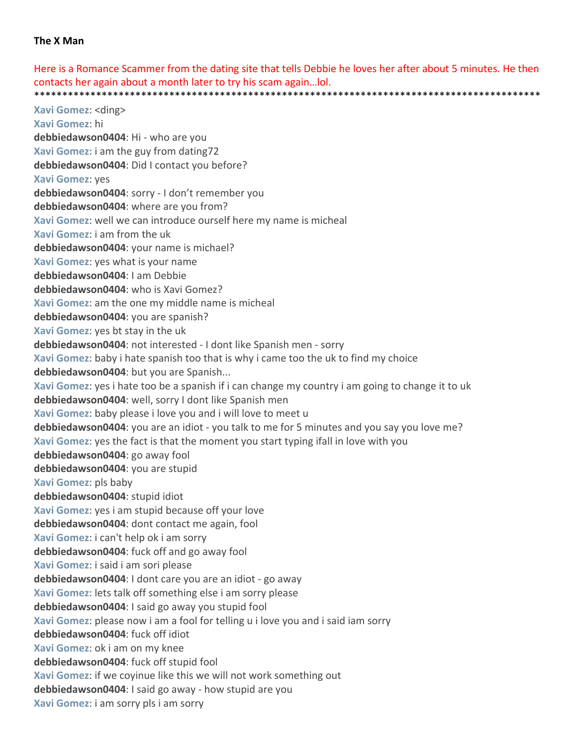## **The X Man**

Here is a Romance Scammer from the dating site that tells Debbie he loves her after about 5 minutes. He then contacts her again about a month later to try his scam again…lol. \*\*\*\*\*\*\*\*\*\*\*\*\*\*\*\*\*\*\*\*\*\*\*\*\*\*\*\*\*\*\*\*\*\*\*\*\*\*\*\*\*\*\*\*\*\*\*\*\*\*\*\*\*\*\*\*\*\*\*\*\*\*\*\*\*\*\*\*\*\*\*\*\*\*\*\*\*\*\*\*\*\*\*\*\*\*\*\*\*\*

**Xavi Gomez**: <ding> **Xavi Gomez**: hi **debbiedawson0404**: Hi ‐ who are you **Xavi Gomez**: i am the guy from dating72 **debbiedawson0404**: Did I contact you before? **Xavi Gomez**: yes **debbiedawson0404**: sorry ‐ I don't remember you **debbiedawson0404**: where are you from? **Xavi Gomez**: well we can introduce ourself here my name is micheal **Xavi Gomez**: i am from the uk **debbiedawson0404**: your name is michael? **Xavi Gomez**: yes what is your name **debbiedawson0404**: I am Debbie **debbiedawson0404**: who is Xavi Gomez? **Xavi Gomez**: am the one my middle name is micheal **debbiedawson0404**: you are spanish? **Xavi Gomez**: yes bt stay in the uk **debbiedawson0404**: not interested ‐ I dont like Spanish men ‐ sorry **Xavi Gomez**: baby i hate spanish too that is why i came too the uk to find my choice **debbiedawson0404**: but you are Spanish... **Xavi Gomez**: yes i hate too be a spanish if i can change my country i am going to change it to uk **debbiedawson0404**: well, sorry I dont like Spanish men **Xavi Gomez**: baby please i love you and i will love to meet u **debbiedawson0404**: you are an idiot ‐ you talk to me for 5 minutes and you say you love me? **Xavi Gomez**: yes the fact is that the moment you start typing ifall in love with you **debbiedawson0404**: go away fool **debbiedawson0404**: you are stupid **Xavi Gomez**: pls baby **debbiedawson0404**: stupid idiot **Xavi Gomez**: yes i am stupid because off your love **debbiedawson0404**: dont contact me again, fool **Xavi Gomez**: i can't help ok i am sorry **debbiedawson0404**: fuck off and go away fool **Xavi Gomez**: i said i am sori please **debbiedawson0404**: I dont care you are an idiot ‐ go away **Xavi Gomez**: lets talk off something else i am sorry please **debbiedawson0404**: I said go away you stupid fool **Xavi Gomez**: please now i am a fool for telling u i love you and i said iam sorry **debbiedawson0404**: fuck off idiot **Xavi Gomez**: ok i am on my knee **debbiedawson0404**: fuck off stupid fool **Xavi Gomez**: if we coyinue like this we will not work something out **debbiedawson0404**: I said go away ‐ how stupid are you **Xavi Gomez**: i am sorry pls i am sorry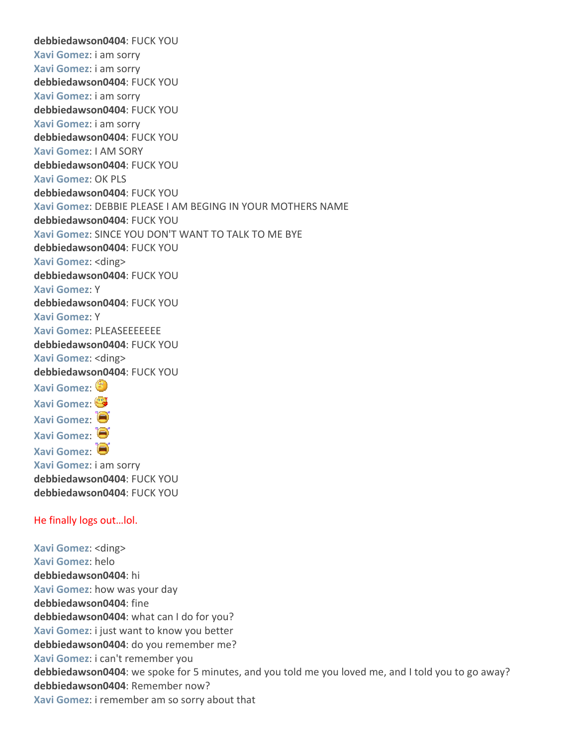**debbiedawson0404**: FUCK YOU **Xavi Gomez**: i am sorry **Xavi Gomez**: i am sorry **debbiedawson0404**: FUCK YOU **Xavi Gomez**: i am sorry **debbiedawson0404**: FUCK YOU **Xavi Gomez**: i am sorry **debbiedawson0404**: FUCK YOU **Xavi Gomez**: I AM SORY **debbiedawson0404**: FUCK YOU **Xavi Gomez**: OK PLS **debbiedawson0404**: FUCK YOU **Xavi Gomez**: DEBBIE PLEASE I AM BEGING IN YOUR MOTHERS NAME **debbiedawson0404**: FUCK YOU **Xavi Gomez**: SINCE YOU DON'T WANT TO TALK TO ME BYE **debbiedawson0404**: FUCK YOU **Xavi Gomez**: <ding> **debbiedawson0404**: FUCK YOU **Xavi Gomez**: Y **debbiedawson0404**: FUCK YOU **Xavi Gomez**: Y **Xavi Gomez**: PLEASEEEEEEE **debbiedawson0404**: FUCK YOU **Xavi Gomez**: <ding> **debbiedawson0404**: FUCK YOU **Xavi Gomez**: **Xavi Gomez**: **Xavi Gomez**: **Xavi Gomez**: **Xavi Gomez**: **Xavi Gomez**: i am sorry **debbiedawson0404**: FUCK YOU **debbiedawson0404**: FUCK YOU

## He finally logs out…lol.

**Xavi Gomez**: <ding> **Xavi Gomez**: helo **debbiedawson0404**: hi **Xavi Gomez**: how was your day **debbiedawson0404**: fine **debbiedawson0404**: what can I do for you? **Xavi Gomez**: i just want to know you better **debbiedawson0404**: do you remember me? **Xavi Gomez**: i can't remember you **debbiedawson0404**: we spoke for 5 minutes, and you told me you loved me, and I told you to go away? **debbiedawson0404**: Remember now? **Xavi Gomez**: i remember am so sorry about that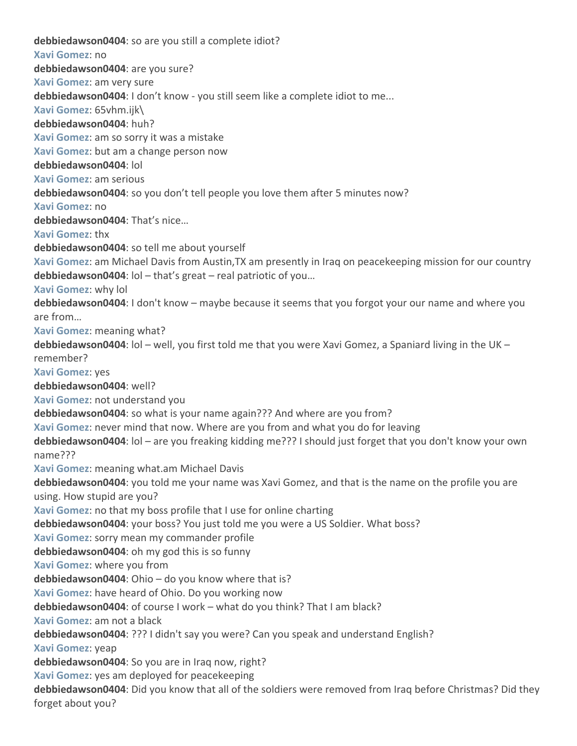**debbiedawson0404**: so are you still a complete idiot? **Xavi Gomez**: no **debbiedawson0404**: are you sure? **Xavi Gomez**: am very sure **debbiedawson0404**: I don't know ‐ you still seem like a complete idiot to me... **Xavi Gomez**: 65vhm.ijk\ **debbiedawson0404**: huh? **Xavi Gomez**: am so sorry it was a mistake **Xavi Gomez**: but am a change person now **debbiedawson0404**: lol **Xavi Gomez**: am serious **debbiedawson0404**: so you don't tell people you love them after 5 minutes now? **Xavi Gomez**: no **debbiedawson0404**: That's nice… **Xavi Gomez**: thx **debbiedawson0404**: so tell me about yourself **Xavi Gomez**: am Michael Davis from Austin,TX am presently in Iraq on peacekeeping mission for our country **debbiedawson0404**: lol – that's great – real patriotic of you… **Xavi Gomez**: why lol **debbiedawson0404**: I don't know – maybe because it seems that you forgot your our name and where you are from… **Xavi Gomez**: meaning what? **debbiedawson0404**: lol – well, you first told me that you were Xavi Gomez, a Spaniard living in the UK – remember? **Xavi Gomez**: yes **debbiedawson0404**: well? **Xavi Gomez**: not understand you **debbiedawson0404**: so what is your name again??? And where are you from? **Xavi Gomez**: never mind that now. Where are you from and what you do for leaving **debbiedawson0404**: lol – are you freaking kidding me??? I should just forget that you don't know your own name??? **Xavi Gomez**: meaning what.am Michael Davis **debbiedawson0404**: you told me your name was Xavi Gomez, and that is the name on the profile you are using. How stupid are you? **Xavi Gomez**: no that my boss profile that I use for online charting **debbiedawson0404**: your boss? You just told me you were a US Soldier. What boss? **Xavi Gomez**: sorry mean my commander profile **debbiedawson0404**: oh my god this is so funny **Xavi Gomez**: where you from **debbiedawson0404**: Ohio – do you know where that is? **Xavi Gomez**: have heard of Ohio. Do you working now **debbiedawson0404**: of course I work – what do you think? That I am black? **Xavi Gomez**: am not a black **debbiedawson0404**: ??? I didn't say you were? Can you speak and understand English? **Xavi Gomez**: yeap **debbiedawson0404**: So you are in Iraq now, right? **Xavi Gomez**: yes am deployed for peacekeeping **debbiedawson0404**: Did you know that all of the soldiers were removed from Iraq before Christmas? Did they forget about you?